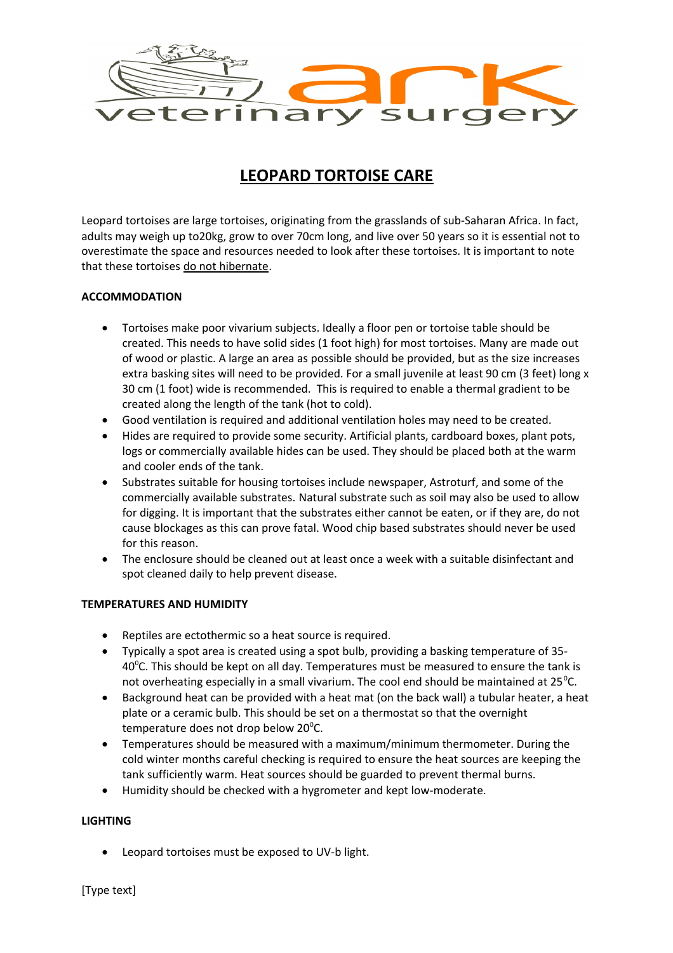

# **LEOPARD TORTOISE CARE**

Leopard tortoises are large tortoises, originating from the grasslands of sub-Saharan Africa. In fact, adults may weigh up to20kg, grow to over 70cm long, and live over 50 years so it is essential not to overestimate the space and resources needed to look after these tortoises. It is important to note that these tortoises do not hibernate.

## **ACCOMMODATION**

- Tortoises make poor vivarium subjects. Ideally a floor pen or tortoise table should be created. This needs to have solid sides (1 foot high) for most tortoises. Many are made out of wood or plastic. A large an area as possible should be provided, but as the size increases extra basking sites will need to be provided. For a small juvenile at least 90 cm (3 feet) long x 30 cm (1 foot) wide is recommended. This is required to enable a thermal gradient to be created along the length of the tank (hot to cold).
- Good ventilation is required and additional ventilation holes may need to be created.
- Hides are required to provide some security. Artificial plants, cardboard boxes, plant pots, logs or commercially available hides can be used. They should be placed both at the warm and cooler ends of the tank.
- Substrates suitable for housing tortoises include newspaper, Astroturf, and some of the commercially available substrates. Natural substrate such as soil may also be used to allow for digging. It is important that the substrates either cannot be eaten, or if they are, do not cause blockages as this can prove fatal. Wood chip based substrates should never be used for this reason.
- The enclosure should be cleaned out at least once a week with a suitable disinfectant and spot cleaned daily to help prevent disease.

### **TEMPERATURES AND HUMIDITY**

- Reptiles are ectothermic so a heat source is required.
- Typically a spot area is created using a spot bulb, providing a basking temperature of 35-  $40^{\circ}$ C. This should be kept on all day. Temperatures must be measured to ensure the tank is not overheating especially in a small vivarium. The cool end should be maintained at  $25^{\circ}$ C.
- Background heat can be provided with a heat mat (on the back wall) a tubular heater, a heat plate or a ceramic bulb. This should be set on a thermostat so that the overnight temperature does not drop below 20 $^{\circ}$ C.
- Temperatures should be measured with a maximum/minimum thermometer. During the cold winter months careful checking is required to ensure the heat sources are keeping the tank sufficiently warm. Heat sources should be guarded to prevent thermal burns.
- Humidity should be checked with a hygrometer and kept low-moderate.

### **LIGHTING**

Leopard tortoises must be exposed to UV-b light.